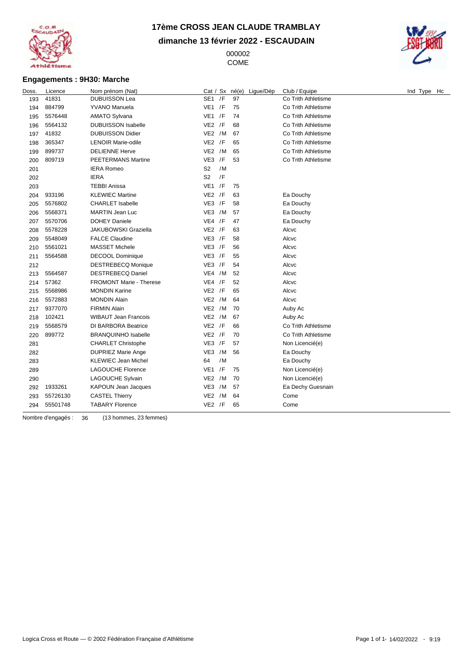

**dimanche 13 février 2022 - ESCAUDAIN**

 COME



### **Engagements : 9H30: Marche**

| Doss. | Licence  | Nom prénom (Nat)            | Cat / Sx né(e)       | Ligue/Dép | Club / Equipe       | Ind Type Hc |
|-------|----------|-----------------------------|----------------------|-----------|---------------------|-------------|
| 193   | 41831    | <b>DUBUISSON Lea</b>        | SE1 /F               | 97        | Co Trith Athletisme |             |
| 194   | 884799   | <b>YVANO Manuela</b>        | $VE1$ /F             | 75        | Co Trith Athletisme |             |
| 195   | 5576448  | <b>AMATO Sylvana</b>        | $VE1$ /F             | 74        | Co Trith Athletisme |             |
| 196   | 5564132  | <b>DUBUISSON Isabelle</b>   | $VE2$ /F             | 68        | Co Trith Athletisme |             |
| 197   | 41832    | <b>DUBUISSON Didier</b>     | VE2 /M               | 67        | Co Trith Athletisme |             |
| 198   | 365347   | <b>LENOIR Marie-odile</b>   | $VE2$ /F             | 65        | Co Trith Athletisme |             |
| 199   | 899737   | <b>DELIENNE Herve</b>       | VE2 /M               | 65        | Co Trith Athletisme |             |
| 200   | 809719   | <b>PEETERMANS Martine</b>   | $VE3$ /F             | 53        | Co Trith Athletisme |             |
| 201   |          | <b>IERA Romeo</b>           | S <sub>2</sub><br>/M |           |                     |             |
| 202   |          | <b>IERA</b>                 | /F<br>S <sub>2</sub> |           |                     |             |
| 203   |          | <b>TEBBI Anissa</b>         | $VE1$ /F             | 75        |                     |             |
| 204   | 933196   | <b>KLEWIEC Martine</b>      | $VE2$ /F             | 63        | Ea Douchy           |             |
| 205   | 5576802  | <b>CHARLET Isabelle</b>     | $VE3$ /F             | 58        | Ea Douchy           |             |
| 206   | 5568371  | <b>MARTIN Jean Luc</b>      | VE3 /M               | 57        | Ea Douchy           |             |
| 207   | 5570706  | <b>DOHEY Daniele</b>        | $VE4$ /F             | 47        | Ea Douchy           |             |
| 208   | 5578228  | <b>JAKUBOWSKI Graziella</b> | $VE2$ /F             | 63        | Alcvc               |             |
| 209   | 5548049  | <b>FALCE Claudine</b>       | $VE3$ /F             | 58        | Alcvc               |             |
| 210   | 5561021  | <b>MASSET Michele</b>       | $VE3$ /F             | 56        | Alcvc               |             |
| 211   | 5564588  | <b>DECOOL Dominique</b>     | $VE3$ /F             | 55        | Alcvc               |             |
| 212   |          | <b>DESTREBECQ Monique</b>   | $VE3$ /F             | 54        | Alcvc               |             |
| 213   | 5564587  | <b>DESTREBECQ Daniel</b>    | $VE4$ /M             | 52        | Alcvc               |             |
| 214   | 57362    | FROMONT Marie - Therese     | $VE4$ /F             | 52        | Alcvc               |             |
| 215   | 5568986  | <b>MONDIN Karine</b>        | $VE2$ /F             | 65        | Alcvc               |             |
| 216   | 5572883  | <b>MONDIN Alain</b>         | VE2 /M               | 64        | Alcvc               |             |
| 217   | 9377070  | <b>FIRMIN Alain</b>         | VE2 /M               | 70        | Auby Ac             |             |
| 218   | 102421   | <b>WIBAUT Jean Francois</b> | VE2 /M               | 67        | Auby Ac             |             |
| 219   | 5568579  | DI BARBORA Beatrice         | $VE2$ /F             | 66        | Co Trith Athletisme |             |
| 220   | 899772   | <b>BRANQUINHO Isabelle</b>  | $VE2$ /F             | 70        | Co Trith Athletisme |             |
| 281   |          | <b>CHARLET Christophe</b>   | $VE3$ /F             | 57        | Non Licencié(e)     |             |
| 282   |          | <b>DUPRIEZ Marie Ange</b>   | VE3 /M               | 56        | Ea Douchy           |             |
| 283   |          | <b>KLEWIEC Jean Michel</b>  | /M<br>64             |           | Ea Douchy           |             |
| 289   |          | <b>LAGOUCHE Florence</b>    | VE1 / F              | 75        | Non Licencié(e)     |             |
| 290   |          | LAGOUCHE Sylvain            | VE2 /M               | 70        | Non Licencié(e)     |             |
| 292   | 1933261  | <b>KAPOUN Jean Jacques</b>  | VE3 /M               | 57        | Ea Dechy Guesnain   |             |
| 293   | 55726130 | <b>CASTEL Thierry</b>       | $VE2$ /M             | 64        | Come                |             |
| 294   | 55501748 | <b>TABARY Florence</b>      | $VE2$ /F             | 65        | Come                |             |
|       |          |                             |                      |           |                     |             |

Nombre d'engagés : 36 (13 hommes, 23 femmes)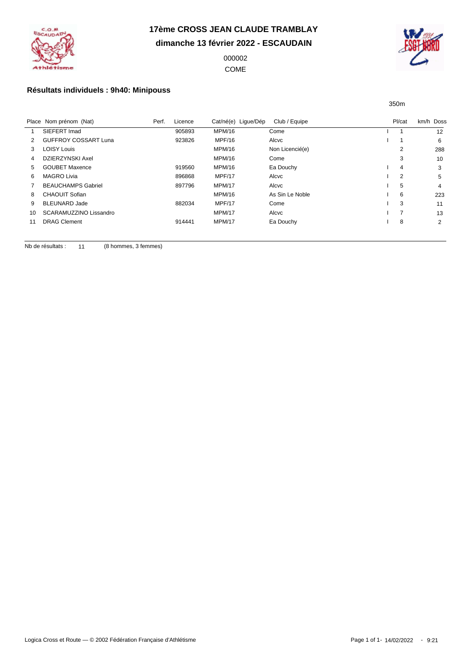

**dimanche 13 février 2022 - ESCAUDAIN**

000002 COME



350m

### **Résultats individuels : 9h40: Minipouss**

|    | Place Nom prénom (Nat)      | Perf. | Licence | Cat/né(e) Ligue/Dép | Club / Equipe   | Pl/cat | km/h Doss      |
|----|-----------------------------|-------|---------|---------------------|-----------------|--------|----------------|
|    | SIEFERT Imad                |       | 905893  | MPM/16              | Come            |        | 12             |
| 2  | <b>GUFFROY COSSART Luna</b> |       | 923826  | MPF/16              | Alcvc           |        | 6              |
| 3  | <b>LOISY Louis</b>          |       |         | MPM/16              | Non Licencié(e) | 2      | 288            |
| 4  | DZIERZYNSKI Axel            |       |         | MPM/16              | Come            | 3      | 10             |
| 5  | <b>GOUBET Maxence</b>       |       | 919560  | MPM/16              | Ea Douchy       | 4      | 3              |
| 6  | <b>MAGRO Livia</b>          |       | 896868  | MPF/17              | Alcvc           | 2      | 5              |
|    | <b>BEAUCHAMPS Gabriel</b>   |       | 897796  | <b>MPM/17</b>       | Alcvc           | 5      | $\overline{4}$ |
| 8  | <b>CHAOUIT Sofian</b>       |       |         | MPM/16              | As Sin Le Noble | 6      | 223            |
| 9  | <b>BLEUNARD Jade</b>        |       | 882034  | MPF/17              | Come            | 3      | 11             |
| 10 | SCARAMUZZINO Lissandro      |       |         | <b>MPM/17</b>       | Alcvc           |        | 13             |
| 11 | <b>DRAG Clement</b>         |       | 914441  | <b>MPM/17</b>       | Ea Douchy       | 8      | 2              |

Nb de résultats : 11 (8 hommes, 3 femmes)

Logica Cross et Route — © 2002 Fédération Française d'Athlétisme **Page 1 of 1-14/02/2022** - 9:21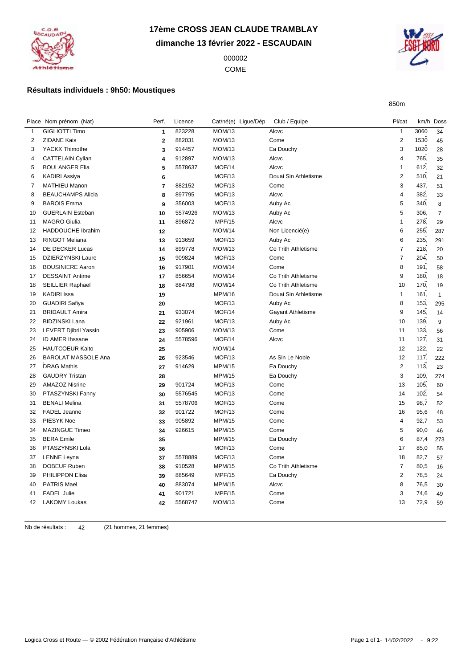

## **17ème CROSS JEAN CLAUDE TRAMBLAY dimanche 13 février 2022 - ESCAUDAIN**

 COME



850m

### **Résultats individuels : 9h50: Moustiques**

|    | Place Nom prénom (Nat)     | Perf.                   | Licence | Cat/né(e) Ligue/Dép | Club / Equipe        | Pl/cat         | km/h Doss |                |
|----|----------------------------|-------------------------|---------|---------------------|----------------------|----------------|-----------|----------------|
| 1  | <b>GIGLIOTTI Timo</b>      | $\mathbf{1}$            | 823228  | MOM/13              | Alcvc                | $\mathbf{1}$   | 3060      | 34             |
| 2  | <b>ZIDANE Kais</b>         | $\overline{2}$          | 882031  | MOM/13              | Come                 | $\overline{2}$ | 1530      | 45             |
| 3  | YACKX Thimothe             | 3                       | 914457  | MOM/13              | Ea Douchy            | 3              | 1020      | 28             |
| 4  | <b>CATTELAIN Cylian</b>    | 4                       | 912897  | MOM/13              | Alcvc                | $\overline{4}$ | 765.      | 35             |
| 5  | <b>BOULANGER Elia</b>      | 5                       | 5578637 | MOF/14              | Alcvc                | $\mathbf{1}$   | 612,      | 32             |
| 6  | <b>KADIRI Assiya</b>       | 6                       |         | MOF/13              | Douai Sin Athletisme | $\overline{2}$ | 510,      | 21             |
| 7  | <b>MATHIEU Manon</b>       | $\overline{\mathbf{r}}$ | 882152  | MOF/13              | Come                 | 3              | 437,      | 51             |
| 8  | <b>BEAUCHAMPS Alicia</b>   | 8                       | 897795  | MOF/13              | Alcvc                | 4              | 382,      | 33             |
| 9  | <b>BAROIS Emma</b>         | 9                       | 356003  | MOF/13              | Auby Ac              | 5              | 340,      | 8              |
| 10 | <b>GUERLAIN Esteban</b>    | 10                      | 5574926 | MOM/13              | Auby Ac              | 5              | 306.      | $\overline{7}$ |
| 11 | <b>MAGRO Giulia</b>        | 11                      | 896872  | <b>MPF/15</b>       | Alcvc                | $\overline{1}$ | 278.      | 29             |
| 12 | HADDOUCHE Ibrahim          | 12                      |         | <b>MOM/14</b>       | Non Licencié(e)      | 6              | 255,      | 287            |
| 13 | <b>RINGOT Meliana</b>      | 13                      | 913659  | MOF/13              | Auby Ac              | 6              | 235,      | 291            |
| 14 | DE DECKER Lucas            | 14                      | 899778  | MOM/13              | Co Trith Athletisme  | $\overline{7}$ | 218,      | 20             |
| 15 | <b>DZIERZYNSKI Laure</b>   | 15                      | 909824  | MOF/13              | Come                 | $\overline{7}$ | 204,      | 50             |
| 16 | <b>BOUSINIERE Aaron</b>    | 16                      | 917901  | <b>MOM/14</b>       | Come                 | 8              | 191,      | 58             |
| 17 | <b>DESSAINT Antime</b>     | 17                      | 856654  | <b>MOM/14</b>       | Co Trith Athletisme  | 9              | 180.      | 18             |
| 18 | <b>SEILLIER Raphael</b>    | 18                      | 884798  | MOM/14              | Co Trith Athletisme  | 10             | 170,      | 19             |
| 19 | <b>KADIRI</b> Issa         | 19                      |         | <b>MPM/16</b>       | Douai Sin Athletisme | $\mathbf{1}$   | 161,      | $\mathbf{1}$   |
| 20 | <b>GUADIRI Safiya</b>      | 20                      |         | MOF/13              | Auby Ac              | 8              | 153,      | 295            |
| 21 | <b>BRIDAULT Amira</b>      | 21                      | 933074  | MOF/14              | Gayant Athletisme    | 9              | 145,      | 14             |
| 22 | <b>BIDZINSKI Lana</b>      | 22                      | 921961  | MOF/13              | Auby Ac              | 10             | 139.      | 9              |
| 23 | LEVERT Djibril Yassin      | 23                      | 905906  | <b>MOM/13</b>       | Come                 | 11             | 133,      | 56             |
| 24 | ID AMER Ihssane            | 24                      | 5578596 | MOF/14              | Alcvc                | 11             | 127,      | 31             |
| 25 | <b>HAUTCOEUR Kaito</b>     | 25                      |         | <b>MOM/14</b>       |                      | 12             | 122.      | 22             |
| 26 | <b>BAROLAT MASSOLE Ana</b> | 26                      | 923546  | MOF/13              | As Sin Le Noble      | 12             | 117,      | 222            |
| 27 | <b>DRAG Mathis</b>         | 27                      | 914629  | <b>MPM/15</b>       | Ea Douchy            | $\overline{c}$ | 113,      | 23             |
| 28 | <b>GAUDRY Tristan</b>      | 28                      |         | <b>MPM/15</b>       | Ea Douchy            | 3              | 109.      | 274            |
| 29 | <b>AMAZOZ Nisrine</b>      | 29                      | 901724  | MOF/13              | Come                 | 13             | 105.      | 60             |
| 30 | PTASZYNSKI Fanny           | 30                      | 5576545 | MOF/13              | Come                 | 14             | 102,      | 54             |
| 31 | <b>BENALI Melina</b>       | 31                      | 5578706 | MOF/13              | Come                 | 15             | 98,7      | 52             |
| 32 | FADEL Jeanne               | 32                      | 901722  | MOF/13              | Come                 | 16             | 95,6      | 48             |
| 33 | PIESYK Noe                 | 33                      | 905892  | <b>MPM/15</b>       | Come                 | $\overline{4}$ | 92,7      | 53             |
| 34 | <b>MAZINGUE Timeo</b>      | 34                      | 926615  | <b>MPM/15</b>       | Come                 | 5              | 90,0      | 46             |
| 35 | <b>BERA Emile</b>          | 35                      |         | <b>MPM/15</b>       | Ea Douchy            | 6              | 87,4      | 273            |
| 36 | PTASZYNSKI Lola            | 36                      |         | MOF/13              | Come                 | 17             | 85,0      | 55             |
| 37 | <b>LENNE Leyna</b>         | 37                      | 5578889 | MOF/13              | Come                 | 18             | 82,7      | 57             |
| 38 | DOBEUF Ruben               | 38                      | 910528  | <b>MPM/15</b>       | Co Trith Athletisme  | $\overline{7}$ | 80,5      | 16             |
| 39 | <b>PHILIPPON Elisa</b>     | 39                      | 885649  | <b>MPF/15</b>       | Ea Douchy            | 2              | 78,5      | 24             |
| 40 | <b>PATRIS Mael</b>         | 40                      | 883074  | <b>MPM/15</b>       | Alcvc                | 8              | 76,5      | 30             |
| 41 | <b>FADEL Julie</b>         | 41                      | 901721  | <b>MPF/15</b>       | Come                 | 3              | 74,6      | 49             |
| 42 | <b>LAKOMY Loukas</b>       | 42                      | 5568747 | MOM/13              | Come                 | 13             | 72,9      | 59             |
|    |                            |                         |         |                     |                      |                |           |                |

Nb de résultats : 42 (21 hommes, 21 femmes)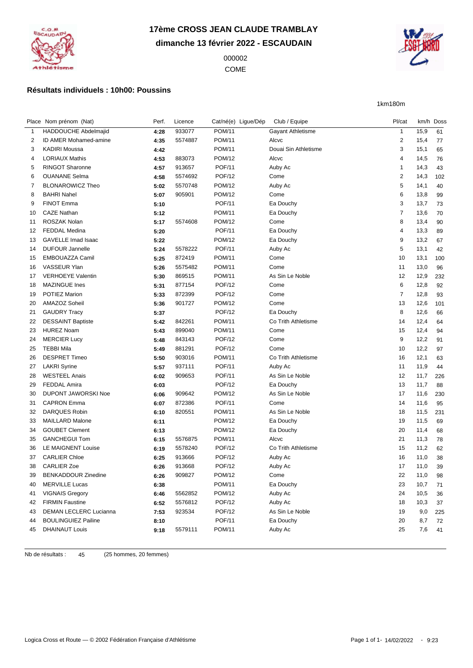

## **17ème CROSS JEAN CLAUDE TRAMBLAY dimanche 13 février 2022 - ESCAUDAIN**

 COME



1km180m

### **Résultats individuels : 10h00: Poussins**

|    | Place Nom prénom (Nat)       | Perf. | Licence | Cat/né(e) Ligue/Dép | Club / Equipe        | Pl/cat         |      | km/h Doss |
|----|------------------------------|-------|---------|---------------------|----------------------|----------------|------|-----------|
| 1  | HADDOUCHE Abdelmajid         | 4:28  | 933077  | <b>POM/11</b>       | Gayant Athletisme    | $\mathbf{1}$   | 15,9 | 61        |
| 2  | <b>ID AMER Mohamed-amine</b> | 4:35  | 5574887 | <b>POM/11</b>       | Alcvc                | $\overline{2}$ | 15,4 | 77        |
| 3  | <b>KADIRI Moussa</b>         | 4:42  |         | <b>POM/11</b>       | Douai Sin Athletisme | 3              | 15,1 | 65        |
| 4  | <b>LORIAUX Mathis</b>        | 4:53  | 883073  | <b>POM/12</b>       | Alcvc                | 4              | 14,5 | 76        |
| 5  | <b>RINGOT Sharonne</b>       | 4:57  | 913657  | <b>POF/11</b>       | Auby Ac              | $\overline{1}$ | 14,3 | 43        |
| 6  | <b>OUANANE Selma</b>         | 4:58  | 5574692 | <b>POF/12</b>       | Come                 | $\overline{2}$ | 14,3 | 102       |
| 7  | <b>BLONAROWICZ Theo</b>      | 5:02  | 5570748 | <b>POM/12</b>       | Auby Ac              | 5              | 14,1 | 40        |
| 8  | <b>BAHRI Nahel</b>           | 5:07  | 905901  | <b>POM/12</b>       | Come                 | 6              | 13,8 | 99        |
| 9  | <b>FINOT Emma</b>            | 5:10  |         | <b>POF/11</b>       | Ea Douchy            | 3              | 13,7 | 73        |
| 10 | <b>CAZE Nathan</b>           | 5:12  |         | <b>POM/11</b>       | Ea Douchy            | $\overline{7}$ | 13,6 | 70        |
| 11 | ROSZAK Nolan                 | 5:17  | 5574608 | <b>POM/12</b>       | Come                 | 8              | 13,4 | 90        |
| 12 | <b>FEDDAL Medina</b>         | 5:20  |         | <b>POF/11</b>       | Ea Douchy            | 4              | 13,3 | 89        |
| 13 | GAVELLE Imad Isaac           | 5:22  |         | <b>POM/12</b>       | Ea Douchy            | 9              | 13,2 | 67        |
| 14 | <b>DUFOUR Jannelle</b>       | 5:24  | 5578222 | <b>POF/11</b>       | Auby Ac              | 5              | 13,1 | 42        |
| 15 | EMBOUAZZA Camil              | 5:25  | 872419  | <b>POM/11</b>       | Come                 | 10             | 13,1 | 100       |
| 16 | VASSEUR Ylan                 | 5:26  | 5575482 | <b>POM/11</b>       | Come                 | 11             | 13,0 | 96        |
| 17 | <b>VERHOEYE Valentin</b>     | 5:30  | 869515  | <b>POM/11</b>       | As Sin Le Noble      | 12             | 12,9 | 232       |
| 18 | <b>MAZINGUE Ines</b>         | 5:31  | 877154  | <b>POF/12</b>       | Come                 | 6              | 12,8 | 92        |
| 19 | POTIEZ Marion                | 5:33  | 872399  | <b>POF/12</b>       | Come                 | $\overline{7}$ | 12,8 | 93        |
| 20 | AMAZOZ Soheil                | 5:36  | 901727  | <b>POM/12</b>       | Come                 | 13             | 12,6 | 101       |
| 21 | <b>GAUDRY Tracy</b>          | 5:37  |         | <b>POF/12</b>       | Ea Douchy            | 8              | 12,6 | 66        |
| 22 | <b>DESSAINT Baptiste</b>     | 5:42  | 842261  | <b>POM/11</b>       | Co Trith Athletisme  | 14             | 12,4 | 64        |
| 23 | <b>HUREZ Noam</b>            | 5:43  | 899040  | <b>POM/11</b>       | Come                 | 15             | 12,4 | 94        |
| 24 | <b>MERCIER Lucy</b>          | 5:48  | 843143  | <b>POF/12</b>       | Come                 | 9              | 12,2 | 91        |
| 25 | <b>TEBBI Mila</b>            | 5:49  | 881291  | <b>POF/12</b>       | Come                 | 10             | 12,2 | 97        |
| 26 | <b>DESPRET Timeo</b>         | 5:50  | 903016  | <b>POM/11</b>       | Co Trith Athletisme  | 16             | 12,1 | 63        |
| 27 | <b>LAKRI Syrine</b>          | 5:57  | 937111  | <b>POF/11</b>       | Auby Ac              | 11             | 11,9 | 44        |
| 28 | <b>WESTEEL Anais</b>         | 6:02  | 909653  | <b>POF/11</b>       | As Sin Le Noble      | 12             | 11,7 | 226       |
| 29 | <b>FEDDAL Amira</b>          | 6:03  |         | <b>POF/12</b>       | Ea Douchy            | 13             | 11,7 | 88        |
| 30 | <b>DUPONT JAWORSKI Noe</b>   | 6:06  | 909642  | <b>POM/12</b>       | As Sin Le Noble      | 17             | 11,6 | 230       |
| 31 | <b>CAPRON Emma</b>           | 6:07  | 872386  | <b>POF/11</b>       | Come                 | 14             | 11,6 | 95        |
| 32 | <b>DARQUES Robin</b>         | 6:10  | 820551  | <b>POM/11</b>       | As Sin Le Noble      | 18             | 11,5 | 231       |
| 33 | <b>MAILLARD Malone</b>       | 6:11  |         | <b>POM/12</b>       | Ea Douchy            | 19             | 11,5 | 69        |
| 34 | <b>GOUBET Clement</b>        | 6:13  |         | <b>POM/12</b>       | Ea Douchy            | 20             | 11,4 | 68        |
| 35 | <b>GANCHEGUI Tom</b>         | 6:15  | 5576875 | <b>POM/11</b>       | Alcvc                | 21             | 11,3 | 78        |
| 36 | LE MAIGNENT Louise           | 6:19  | 5578240 | <b>POF/12</b>       | Co Trith Athletisme  | 15             | 11,2 | 62        |
| 37 | <b>CARLIER Chloe</b>         | 6:25  | 913666  | <b>POF/12</b>       | Auby Ac              | 16             | 11,0 | 38        |
| 38 | <b>CARLIER Zoe</b>           | 6:26  | 913668  | <b>POF/12</b>       | Auby Ac              | 17             | 11,0 | 39        |
| 39 | <b>BENKADDOUR Zinedine</b>   | 6:26  | 909827  | <b>POM/12</b>       | Come                 | 22             | 11,0 | 98        |
| 40 | <b>MERVILLE Lucas</b>        | 6:38  |         | <b>POM/11</b>       | Ea Douchy            | 23             | 10,7 | 71        |
| 41 | <b>VIGNAIS Gregory</b>       | 6:46  | 5562852 | <b>POM/12</b>       | Auby Ac              | 24             | 10,5 | 36        |
| 42 | <b>FIRMIN Faustine</b>       | 6:52  | 5576812 | <b>POF/12</b>       | Auby Ac              | 18             | 10,3 | 37        |
| 43 | DEMAN LECLERC Lucianna       | 7:53  | 923534  | <b>POF/12</b>       | As Sin Le Noble      | 19             | 9,0  | 225       |
| 44 | <b>BOULINGUIEZ Pailine</b>   | 8:10  |         | POF/11              | Ea Douchy            | 20             | 8,7  | 72        |
| 45 | <b>DHAINAUT Louis</b>        | 9:18  | 5579111 | <b>POM/11</b>       | Auby Ac              | 25             | 7,6  | 41        |
|    |                              |       |         |                     |                      |                |      |           |

Nb de résultats : 45 (25 hommes, 20 femmes)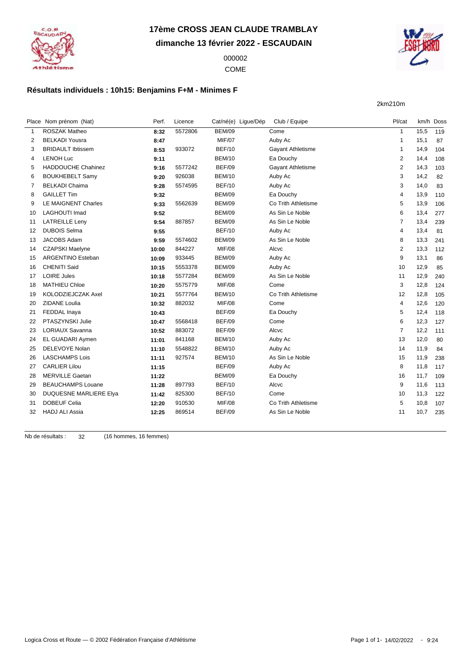**dimanche 13 février 2022 - ESCAUDAIN**

 COME



2km210m

#### **Résultats individuels : 10h15: Benjamins F+M - Minimes F**

Place Nom prénom (Nat) **Perf.** Licence Cat/né(e) Ligue/Dép Club / Equipe Pl/cat Rm/h Doss ROSZAK Matheo **8:32** 5572806 BEM/09 Come 1 15,5 119 BELKADI Yousra **8:47** MIF/07 Auby Ac 1 15,1 87 BRIDAULT Ibtissem **8:53** 933072 BEF/10 Gayant Athletisme 1 14,9 104 LENOH Luc **9:11** BEM/10 Ea Douchy 2 14,4 108 HADDOUCHE Chahinez **9:16** 5577242 BEF/09 Gayant Athletisme 2 14,3 103 BOUKHEBELT Samy **9:20** 926038 BEM/10 Auby Ac 3 14,2 82 BELKADI Chaima **9:28** 5574595 BEF/10 Auby Ac 3 14,0 83 GAILLET Tim **9:32** BEM/09 Ea Douchy 4 13,9 110 LE MAIGNENT Charles **9:33** 5562639 BEM/09 Co Trith Athletisme 5 13,9 106 LAGHOUTI Imad **9:52** BEM/09 As Sin Le Noble 6 13,4 277 LATREILLE Leny **9:54** 887857 BEM/09 As Sin Le Noble 7 13,4 239 DUBOIS Selma **9:55** BEF/10 Auby Ac 4 13,4 81 JACOBS Adam **9:59** 5574602 BEM/09 As Sin Le Noble 8 13,3 241 CZAPSKI Maelyne **10:00** 844227 MIF/08 Alcvc 2 13,3 112 ARGENTINO Esteban **10:09** 933445 BEM/09 Auby Ac 9 13,1 86 16 CHENITI Said **10:15** 5553378 BEM/09 Auby Ac 10 12,9 85 LOIRE Jules **10:18** 5577284 BEM/09 As Sin Le Noble 11 12,9 240 MATHIEU Chloe **10:20** 5575779 MIF/08 Come 3 12,8 124 KOLODZIEJCZAK Axel **10:21** 5577764 BEM/10 Co Trith Athletisme 12 12,8 105 ZIDANE Loulia **10:32** 882032 MIF/08 Come 4 12,6 120 FEDDAL Inaya **10:43** BEF/09 Ea Douchy 5 12,4 118 PTASZYNSKI Julie **10:47** 5568418 BEF/09 Come 6 12,3 127 LORIAUX Savanna **10:52** 883072 BEF/09 Alcvc 7 12,2 111 EL GUADARI Aymen **11:01** 841168 BEM/10 Auby Ac 13 12,0 80 DELEVOYE Nolan **11:10** 5548822 BEM/10 Auby Ac 14 11,9 84 LASCHAMPS Lois **11:11** 927574 BEM/10 As Sin Le Noble 15 11,9 238 CARLIER Lilou **11:15** BEF/09 Auby Ac 8 11,8 117 MERVILLE Gaetan **11:22** BEM/09 Ea Douchy 16 11,7 109 BEAUCHAMPS Louane **11:28** 897793 BEF/10 Alcvc 9 11,6 113 DUQUESNE MARLIERE Elya **11:42** 825300 BEF/10 Come 10 11,3 122 DOBEUF Celia **12:20** 910530 MIF/08 Co Trith Athletisme 5 10,8 107 HADJ ALI Assia **12:25** 869514 BEF/09 As Sin Le Noble 11 10,7 235

Nb de résultats : 32 (16 hommes, 16 femmes)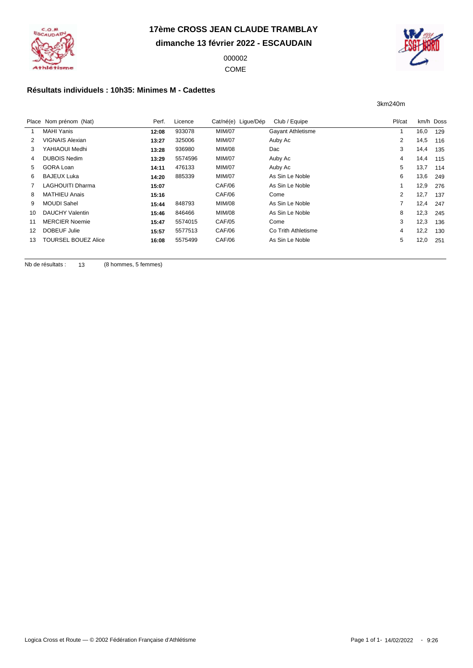

**dimanche 13 février 2022 - ESCAUDAIN**

 COME



3km240m

### **Résultats individuels : 10h35: Minimes M - Cadettes**

|    | Place Nom prénom (Nat)  | Perf. | Licence | Cat/né(e) Lique/Dép | Club / Equipe            | Pl/cat         | km/h Doss |     |
|----|-------------------------|-------|---------|---------------------|--------------------------|----------------|-----------|-----|
|    | <b>MAHI Yanis</b>       | 12:08 | 933078  | <b>MIM/07</b>       | <b>Gayant Athletisme</b> |                | 16,0      | 129 |
|    | VIGNAIS Alexian         | 13:27 | 325006  | <b>MIM/07</b>       | Auby Ac                  | $\overline{2}$ | 14,5      | 116 |
| 3  | YAHIAOUI Medhi          | 13:28 | 936980  | <b>MIM/08</b>       | Dac                      | 3              | 14,4      | 135 |
| 4  | <b>DUBOIS Nedim</b>     | 13:29 | 5574596 | <b>MIM/07</b>       | Auby Ac                  | 4              | 14,4      | 115 |
| 5. | GORA Loan               | 14:11 | 476133  | <b>MIM/07</b>       | Auby Ac                  | 5              | 13,7      | 114 |
| 6. | <b>BAJEUX Luka</b>      | 14:20 | 885339  | <b>MIM/07</b>       | As Sin Le Noble          | 6              | 13,6      | 249 |
|    | <b>LAGHOUITI Dharma</b> | 15:07 |         | CAF/06              | As Sin Le Noble          |                | 12,9      | 276 |
| 8  | <b>MATHIEU Anais</b>    | 15:16 |         | CAF/06              | Come                     | 2              | 12,7      | 137 |
| 9  | <b>MOUDI Sahel</b>      | 15:44 | 848793  | <b>MIM/08</b>       | As Sin Le Noble          | 7              | 12,4      | 247 |
| 10 | DAUCHY Valentin         | 15:46 | 846466  | <b>MIM/08</b>       | As Sin Le Noble          | 8              | 12,3      | 245 |
| 11 | <b>MERCIER Noemie</b>   | 15:47 | 5574015 | <b>CAF/05</b>       | Come                     | 3              | 12,3      | 136 |
| 12 | DOBEUF Julie            | 15:57 | 5577513 | CAF/06              | Co Trith Athletisme      | 4              | 12,2      | 130 |
| 13 | TOURSEL BOUEZ Alice     | 16:08 | 5575499 | CAF/06              | As Sin Le Noble          | 5              | 12,0      | 251 |
|    |                         |       |         |                     |                          |                |           |     |

Nb de résultats : 13 (8 hommes, 5 femmes)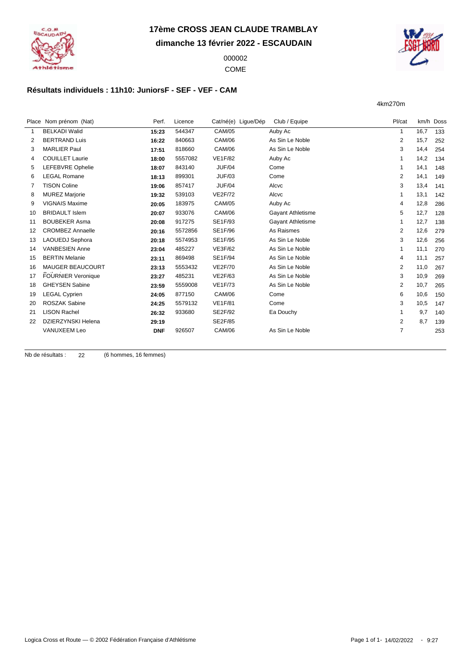

**dimanche 13 février 2022 - ESCAUDAIN**

 COME



4km270m

### **Résultats individuels : 11h10: JuniorsF - SEF - VEF - CAM**

|              | Place Nom prénom (Nat)    | Perf.      | Licence | Cat/né(e) Ligue/Dép | Club / Equipe            | Pl/cat         | km/h Doss |     |
|--------------|---------------------------|------------|---------|---------------------|--------------------------|----------------|-----------|-----|
| $\mathbf{1}$ | <b>BELKADI Walid</b>      | 15:23      | 544347  | <b>CAM/05</b>       | Auby Ac                  |                | 16,7      | 133 |
| 2            | <b>BERTRAND Luis</b>      |            | 840663  | <b>CAM/06</b>       | As Sin Le Noble          | 2              | 15,7      |     |
|              |                           | 16:22      |         |                     |                          |                |           | 252 |
| 3            | <b>MARLIER Paul</b>       | 17:51      | 818660  | <b>CAM/06</b>       | As Sin Le Noble          | 3              | 14,4      | 254 |
| 4            | <b>COUILLET Laurie</b>    | 18:00      | 5557082 | <b>VE1F/82</b>      | Auby Ac                  |                | 14,2      | 134 |
| 5            | LEFEBVRE Ophelie          | 18:07      | 843140  | <b>JUF/04</b>       | Come                     |                | 14,1      | 148 |
| 6            | <b>LEGAL Romane</b>       | 18:13      | 899301  | <b>JUF/03</b>       | Come                     | $\overline{2}$ | 14,1      | 149 |
| 7            | <b>TISON Coline</b>       | 19:06      | 857417  | <b>JUF/04</b>       | Alcvc                    | 3              | 13,4      | 141 |
| 8            | <b>MUREZ Marjorie</b>     | 19:32      | 539103  | <b>VE2F/72</b>      | Alcvc                    |                | 13,1      | 142 |
| 9            | <b>VIGNAIS Maxime</b>     | 20:05      | 183975  | <b>CAM/05</b>       | Auby Ac                  | 4              | 12,8      | 286 |
| 10           | <b>BRIDAULT Islem</b>     | 20:07      | 933076  | <b>CAM/06</b>       | <b>Gayant Athletisme</b> | 5              | 12,7      | 128 |
| 11           | <b>BOUBEKER Asma</b>      | 20:08      | 917275  | SE1F/93             | <b>Gayant Athletisme</b> |                | 12,7      | 138 |
| 12           | <b>CROMBEZ Annaelle</b>   | 20:16      | 5572856 | <b>SE1F/96</b>      | As Raismes               | $\overline{2}$ | 12,6      | 279 |
| 13           | LAOUEDJ Sephora           | 20:18      | 5574953 | SE1F/95             | As Sin Le Noble          | 3              | 12,6      | 256 |
| 14           | <b>VANBESIEN Anne</b>     | 23:04      | 485227  | <b>VE3F/62</b>      | As Sin Le Noble          |                | 11,1      | 270 |
| 15           | <b>BERTIN Melanie</b>     | 23:11      | 869498  | SE1F/94             | As Sin Le Noble          | 4              | 11,1      | 257 |
| 16           | <b>MAUGER BEAUCOURT</b>   | 23:13      | 5553432 | <b>VE2F/70</b>      | As Sin Le Noble          | $\overline{2}$ | 11,0      | 267 |
| 17           | <b>FOURNIER Veronique</b> | 23:27      | 485231  | <b>VE2F/63</b>      | As Sin Le Noble          | 3              | 10,9      | 269 |
| 18           | <b>GHEYSEN Sabine</b>     | 23:59      | 5559008 | <b>VE1F/73</b>      | As Sin Le Noble          | 2              | 10,7      | 265 |
| 19           | <b>LEGAL Cyprien</b>      | 24:05      | 877150  | <b>CAM/06</b>       | Come                     | 6              | 10,6      | 150 |
| 20           | <b>ROSZAK Sabine</b>      | 24:25      | 5579132 | <b>VE1F/81</b>      | Come                     | 3              | 10,5      | 147 |
| 21           | <b>LISON Rachel</b>       | 26:32      | 933680  | SE2F/92             | Ea Douchy                |                | 9,7       | 140 |
| 22           | <b>DZIERZYNSKI Helena</b> | 29:19      |         | <b>SE2F/85</b>      |                          | 2              | 8,7       | 139 |
|              | VANUXEEM Leo              | <b>DNF</b> | 926507  | <b>CAM/06</b>       | As Sin Le Noble          | $\overline{7}$ |           | 253 |
|              |                           |            |         |                     |                          |                |           |     |

Nb de résultats : 22 (6 hommes, 16 femmes)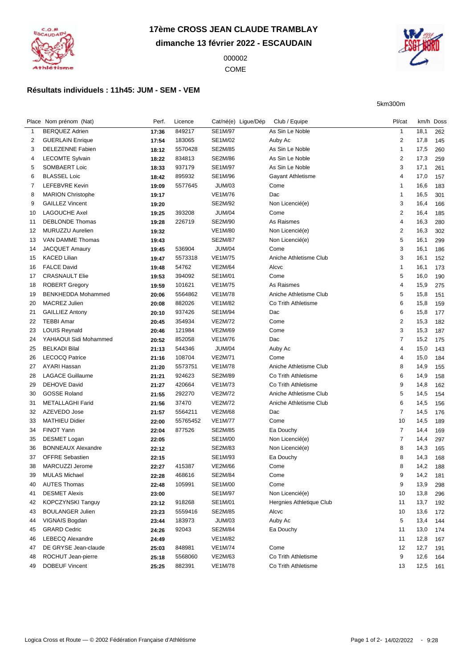

## **17ème CROSS JEAN CLAUDE TRAMBLAY dimanche 13 février 2022 - ESCAUDAIN**

 COME



5km300m

### **Résultats individuels : 11h45: JUM - SEM - VEM**

|    | Place Nom prénom (Nat)    | Perf. | Licence  | Cat/né(e) Ligue/Dép | Club / Equipe            | Pl/cat         |      | km/h Doss  |
|----|---------------------------|-------|----------|---------------------|--------------------------|----------------|------|------------|
| 1  | <b>BERQUEZ Adrien</b>     | 17:36 | 849217   | <b>SE1M/97</b>      | As Sin Le Noble          | $\mathbf{1}$   | 18,1 | 262        |
| 2  | <b>GUERLAIN Enrique</b>   | 17:54 | 183065   | SE1M/02             | Auby Ac                  | 2              | 17,8 | 145        |
| 3  | <b>DELEZENNE Fabien</b>   | 18:12 | 5570428  | <b>SE2M/85</b>      | As Sin Le Noble          | $\mathbf{1}$   | 17,5 | 260        |
| 4  | <b>LECOMTE Sylvain</b>    | 18:22 | 834813   | SE2M/86             | As Sin Le Noble          | 2              | 17,3 | 259        |
| 5  | SOMBAERT Loic             | 18:33 | 937179   | SE1M/97             | As Sin Le Noble          | 3              | 17,1 | 261        |
| 6  | <b>BLASSEL Loic</b>       | 18:42 | 895932   | SE1M/96             | <b>Gayant Athletisme</b> | 4              | 17,0 | 157        |
| 7  | LEFEBVRE Kevin            | 19:09 | 5577645  | <b>JUM/03</b>       | Come                     | -1             | 16,6 | 183        |
| 8  | <b>MARION Christophe</b>  | 19:17 |          | <b>VE1M/76</b>      | Dac                      | $\overline{1}$ | 16,5 | 301        |
| 9  | <b>GAILLEZ Vincent</b>    | 19:20 |          | SE2M/92             | Non Licencié(e)          | 3              | 16,4 | 166        |
| 10 | <b>LAGOUCHE Axel</b>      | 19:25 | 393208   | <b>JUM/04</b>       | Come                     | $\overline{c}$ | 16,4 | 185        |
| 11 | <b>DEBLONDE Thomas</b>    | 19:28 | 226719   | SE2M/90             | As Raismes               | 4              | 16,3 | 280        |
| 12 | MURUZZU Aurelien          | 19:32 |          | <b>VE1M/80</b>      | Non Licencié(e)          | 2              | 16,3 | 302        |
| 13 | VAN DAMME Thomas          | 19:43 |          | <b>SE2M/87</b>      | Non Licencié(e)          | 5              | 16,1 | 299        |
| 14 | <b>JACQUET Amaury</b>     | 19:45 | 536904   | <b>JUM/04</b>       | Come                     | 3              | 16,1 | 186        |
| 15 | <b>KACED Lilian</b>       | 19:47 | 5573318  | <b>VE1M/75</b>      | Aniche Athletisme Club   | 3              | 16,1 | 152        |
| 16 | <b>FALCE David</b>        | 19:48 | 54762    | <b>VE2M/64</b>      | Alcvc                    | $\mathbf{1}$   | 16,1 | 173        |
| 17 | <b>CRASNAULT Elie</b>     | 19:53 | 394092   | SE1M/01             | Come                     | 5              | 16,0 | 190        |
| 18 | <b>ROBERT Gregory</b>     | 19:59 | 101621   | <b>VE1M/75</b>      | As Raismes               | 4              | 15,9 | 275        |
| 19 | <b>BENKHEDDA Mohammed</b> | 20:06 | 5564862  | <b>VE1M/78</b>      | Aniche Athletisme Club   | 5              | 15,8 | 151        |
| 20 | MACREZ Julien             | 20:08 | 882026   | <b>VE1M/82</b>      | Co Trith Athletisme      | 6              | 15,8 | 159        |
| 21 | <b>GAILLIEZ Antony</b>    | 20:10 | 937426   | SE1M/94             | Dac                      | 6              | 15,8 | 177        |
| 22 | <b>TEBBI Amar</b>         | 20:45 | 354934   | <b>VE2M/72</b>      | Come                     | 2              | 15,3 | 182        |
| 23 | <b>LOUIS Reynald</b>      |       | 121984   | <b>VE2M/69</b>      | Come                     | 3              | 15,3 |            |
| 24 | YAHIAOUI Sidi Mohammed    | 20:46 | 852058   | <b>VE1M/76</b>      | Dac                      | $\overline{7}$ | 15,2 | 187<br>175 |
|    | <b>BELKADI Bilal</b>      | 20:52 |          |                     |                          | 4              |      |            |
| 25 |                           | 21:13 | 544346   | <b>JUM/04</b>       | Auby Ac                  |                | 15,0 | 143        |
| 26 | <b>LECOCQ Patrice</b>     | 21:16 | 108704   | <b>VE2M/71</b>      | Come                     | $\overline{4}$ | 15,0 | 184        |
| 27 | <b>AYARI Hassan</b>       | 21:20 | 5573751  | <b>VE1M/78</b>      | Aniche Athletisme Club   | 8              | 14,9 | 155        |
| 28 | <b>LAGACE Guillaume</b>   | 21:21 | 924623   | SE2M/89             | Co Trith Athletisme      | 6              | 14,9 | 158        |
| 29 | DEHOVE David              | 21:27 | 420664   | <b>VE1M/73</b>      | Co Trith Athletisme      | 9              | 14,8 | 162        |
| 30 | <b>GOSSE Roland</b>       | 21:55 | 292270   | <b>VE2M/72</b>      | Aniche Athletisme Club   | 5              | 14,5 | 154        |
| 31 | <b>METALLAGHI Farid</b>   | 21:56 | 37470    | <b>VE2M/72</b>      | Aniche Athletisme Club   | 6              | 14,5 | 156        |
| 32 | AZEVEDO Jose              | 21:57 | 5564211  | <b>VE2M/68</b>      | Dac                      | $\overline{7}$ | 14,5 | 176        |
| 33 | <b>MATHIEU Didier</b>     | 22:00 | 55765452 | <b>VE1M/77</b>      | Come                     | 10             | 14,5 | 189        |
| 34 | FINOT Yann                | 22:04 | 877526   | SE2M/85             | Ea Douchy                | $\overline{7}$ | 14,4 | 169        |
| 35 | <b>DESMET Logan</b>       | 22:05 |          | SE1M/00             | Non Licencié(e)          | 7              | 14,4 | 297        |
| 36 | <b>BONNEAUX Alexandre</b> | 22:12 |          | SE2M/83             | Non Licencié(e)          | 8              | 14,3 | 165        |
| 37 | <b>OFFRE Sebastien</b>    | 22:15 |          | SE1M/93             | Ea Douchy                | 8              | 14,3 | 168        |
| 38 | MARCUZZI Jerome           | 22:27 | 415387   | <b>VE2M/66</b>      | Come                     | 8              | 14,2 | 188        |
| 39 | <b>MULAS Michael</b>      | 22:28 | 468616   | SE2M/84             | Come                     | 9              | 14,2 | 181        |
| 40 | <b>AUTES Thomas</b>       | 22:48 | 105991   | <b>SE1M/00</b>      | Come                     | 9              | 13,9 | 298        |
| 41 | <b>DESMET Alexis</b>      | 23:00 |          | SE1M/97             | Non Licencié(e)          | 10             | 13,8 | 296        |
| 42 | <b>KOPCZYNSKI Tanguy</b>  | 23:12 | 918268   | SE1M/01             | Hergnies Athletique Club | 11             | 13,7 | 192        |
| 43 | <b>BOULANGER Julien</b>   | 23:23 | 5559416  | SE2M/85             | Alcvc                    | 10             | 13,6 | 172        |
| 44 | VIGNAIS Bogdan            | 23:44 | 183973   | <b>JUM/03</b>       | Auby Ac                  | 5              | 13,4 | 144        |
| 45 | <b>GRARD Cedric</b>       | 24:26 | 92043    | SE2M/84             | Ea Douchy                | 11             | 13,0 | 174        |
| 46 | LEBECQ Alexandre          | 24:49 |          | <b>VE1M/82</b>      |                          | 11             | 12,8 | 167        |
| 47 | DE GRYSE Jean-claude      | 25:03 | 848981   | <b>VE1M/74</b>      | Come                     | 12             | 12,7 | 191        |
| 48 | ROCHUT Jean-pierre        | 25:18 | 5568060  | VE2M/63             | Co Trith Athletisme      | 9              | 12,6 | 164        |
| 49 | <b>DOBEUF Vincent</b>     | 25:25 | 882391   | <b>VE1M/78</b>      | Co Trith Athletisme      | 13             | 12,5 | 161        |